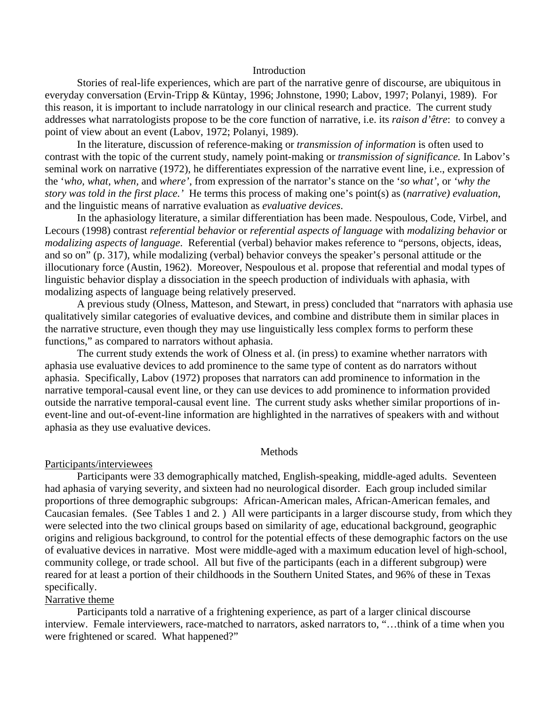## Introduction

Stories of real-life experiences, which are part of the narrative genre of discourse, are ubiquitous in everyday conversation (Ervin-Tripp & Küntay, 1996; Johnstone, 1990; Labov, 1997; Polanyi, 1989). For this reason, it is important to include narratology in our clinical research and practice. The current study addresses what narratologists propose to be the core function of narrative, i.e. its *raison d'être*: to convey a point of view about an event (Labov, 1972; Polanyi, 1989).

In the literature, discussion of reference-making or *transmission of information* is often used to contrast with the topic of the current study, namely point-making or *transmission of significance.* In Labov's seminal work on narrative (1972), he differentiates expression of the narrative event line, i.e., expression of the '*who, what, when,* and *where'*, from expression of the narrator's stance on the '*so what'*, or *'why the story was told in the first place.'* He terms this process of making one's point(s) as (*narrative) evaluation*, and the linguistic means of narrative evaluation as *evaluative devices*.

In the aphasiology literature, a similar differentiation has been made. Nespoulous, Code, Virbel, and Lecours (1998) contrast *referential behavior* or *referential aspects of language* with *modalizing behavior* or *modalizing aspects of language*. Referential (verbal) behavior makes reference to "persons, objects, ideas, and so on" (p. 317), while modalizing (verbal) behavior conveys the speaker's personal attitude or the illocutionary force (Austin, 1962). Moreover, Nespoulous et al. propose that referential and modal types of linguistic behavior display a dissociation in the speech production of individuals with aphasia, with modalizing aspects of language being relatively preserved.

A previous study (Olness, Matteson, and Stewart, in press) concluded that "narrators with aphasia use qualitatively similar categories of evaluative devices, and combine and distribute them in similar places in the narrative structure, even though they may use linguistically less complex forms to perform these functions," as compared to narrators without aphasia.

The current study extends the work of Olness et al. (in press) to examine whether narrators with aphasia use evaluative devices to add prominence to the same type of content as do narrators without aphasia. Specifically, Labov (1972) proposes that narrators can add prominence to information in the narrative temporal-causal event line, or they can use devices to add prominence to information provided outside the narrative temporal-causal event line. The current study asks whether similar proportions of inevent-line and out-of-event-line information are highlighted in the narratives of speakers with and without aphasia as they use evaluative devices.

### Methods

#### Participants/interviewees

Participants were 33 demographically matched, English-speaking, middle-aged adults. Seventeen had aphasia of varying severity, and sixteen had no neurological disorder. Each group included similar proportions of three demographic subgroups: African-American males, African-American females, and Caucasian females. (See Tables 1 and 2. ) All were participants in a larger discourse study, from which they were selected into the two clinical groups based on similarity of age, educational background, geographic origins and religious background, to control for the potential effects of these demographic factors on the use of evaluative devices in narrative. Most were middle-aged with a maximum education level of high-school, community college, or trade school. All but five of the participants (each in a different subgroup) were reared for at least a portion of their childhoods in the Southern United States, and 96% of these in Texas specifically.

# Narrative theme

Participants told a narrative of a frightening experience, as part of a larger clinical discourse interview. Female interviewers, race-matched to narrators, asked narrators to, "…think of a time when you were frightened or scared. What happened?"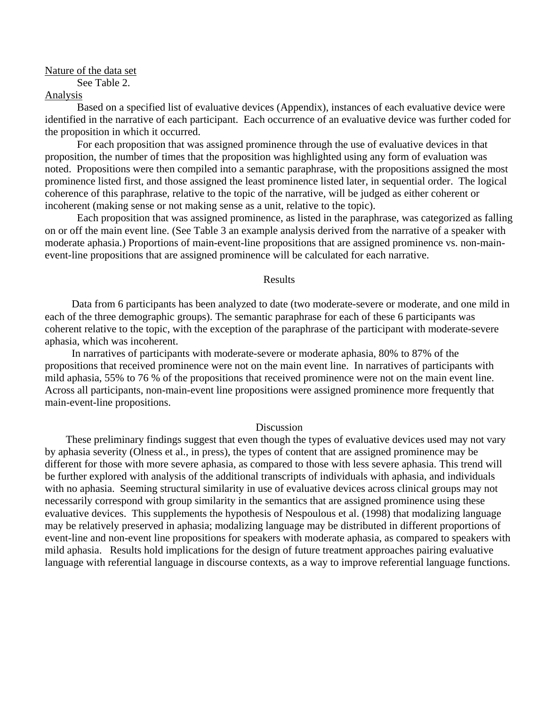Nature of the data set

See Table 2.

### Analysis

Based on a specified list of evaluative devices (Appendix), instances of each evaluative device were identified in the narrative of each participant. Each occurrence of an evaluative device was further coded for the proposition in which it occurred.

For each proposition that was assigned prominence through the use of evaluative devices in that proposition, the number of times that the proposition was highlighted using any form of evaluation was noted. Propositions were then compiled into a semantic paraphrase, with the propositions assigned the most prominence listed first, and those assigned the least prominence listed later, in sequential order. The logical coherence of this paraphrase, relative to the topic of the narrative, will be judged as either coherent or incoherent (making sense or not making sense as a unit, relative to the topic).

Each proposition that was assigned prominence, as listed in the paraphrase, was categorized as falling on or off the main event line. (See Table 3 an example analysis derived from the narrative of a speaker with moderate aphasia.) Proportions of main-event-line propositions that are assigned prominence vs. non-mainevent-line propositions that are assigned prominence will be calculated for each narrative.

## Results

 Data from 6 participants has been analyzed to date (two moderate-severe or moderate, and one mild in each of the three demographic groups). The semantic paraphrase for each of these 6 participants was coherent relative to the topic, with the exception of the paraphrase of the participant with moderate-severe aphasia, which was incoherent.

 In narratives of participants with moderate-severe or moderate aphasia, 80% to 87% of the propositions that received prominence were not on the main event line. In narratives of participants with mild aphasia, 55% to 76 % of the propositions that received prominence were not on the main event line. Across all participants, non-main-event line propositions were assigned prominence more frequently that main-event-line propositions.

# Discussion

 These preliminary findings suggest that even though the types of evaluative devices used may not vary by aphasia severity (Olness et al., in press), the types of content that are assigned prominence may be different for those with more severe aphasia, as compared to those with less severe aphasia. This trend will be further explored with analysis of the additional transcripts of individuals with aphasia, and individuals with no aphasia. Seeming structural similarity in use of evaluative devices across clinical groups may not necessarily correspond with group similarity in the semantics that are assigned prominence using these evaluative devices. This supplements the hypothesis of Nespoulous et al. (1998) that modalizing language may be relatively preserved in aphasia; modalizing language may be distributed in different proportions of event-line and non-event line propositions for speakers with moderate aphasia, as compared to speakers with mild aphasia. Results hold implications for the design of future treatment approaches pairing evaluative language with referential language in discourse contexts, as a way to improve referential language functions.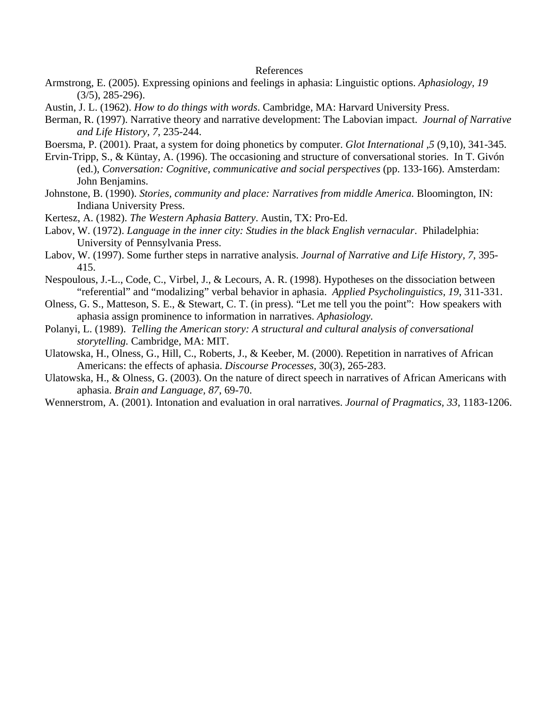#### References

- Armstrong, E. (2005). Expressing opinions and feelings in aphasia: Linguistic options. *Aphasiology, 19*  (3/5), 285-296).
- Austin, J. L. (1962). *How to do things with words*. Cambridge, MA: Harvard University Press.
- Berman, R. (1997). Narrative theory and narrative development: The Labovian impact. *Journal of Narrative and Life History, 7*, 235-244.

Boersma, P. (2001). Praat, a system for doing phonetics by computer. *Glot International ,5* (9,10), 341-345.

- Ervin-Tripp, S., & Küntay, A. (1996). The occasioning and structure of conversational stories. In T. Givón (ed.), *Conversation: Cognitive, communicative and social perspectives* (pp. 133-166). Amsterdam: John Benjamins.
- Johnstone, B. (1990). *Stories, community and place: Narratives from middle America.* Bloomington, IN: Indiana University Press.
- Kertesz, A. (1982). *The Western Aphasia Battery*. Austin, TX: Pro-Ed.
- Labov, W. (1972). *Language in the inner city: Studies in the black English vernacular*. Philadelphia: University of Pennsylvania Press.
- Labov, W. (1997). Some further steps in narrative analysis. *Journal of Narrative and Life History, 7*, 395- 415.
- Nespoulous, J.-L., Code, C., Virbel, J., & Lecours, A. R. (1998). Hypotheses on the dissociation between "referential" and "modalizing" verbal behavior in aphasia. *Applied Psycholinguistics, 19*, 311-331.
- Olness, G. S., Matteson, S. E., & Stewart, C. T. (in press). "Let me tell you the point": How speakers with aphasia assign prominence to information in narratives. *Aphasiology.*
- Polanyi, L. (1989). *Telling the American story: A structural and cultural analysis of conversational storytelling.* Cambridge, MA: MIT.
- Ulatowska, H., Olness, G., Hill, C., Roberts, J., & Keeber, M. (2000). Repetition in narratives of African Americans: the effects of aphasia. *Discourse Processes,* 30(3), 265-283.
- Ulatowska, H., & Olness, G. (2003). On the nature of direct speech in narratives of African Americans with aphasia. *Brain and Language, 87*, 69-70.
- Wennerstrom, A. (2001). Intonation and evaluation in oral narratives. *Journal of Pragmatics, 33*, 1183-1206.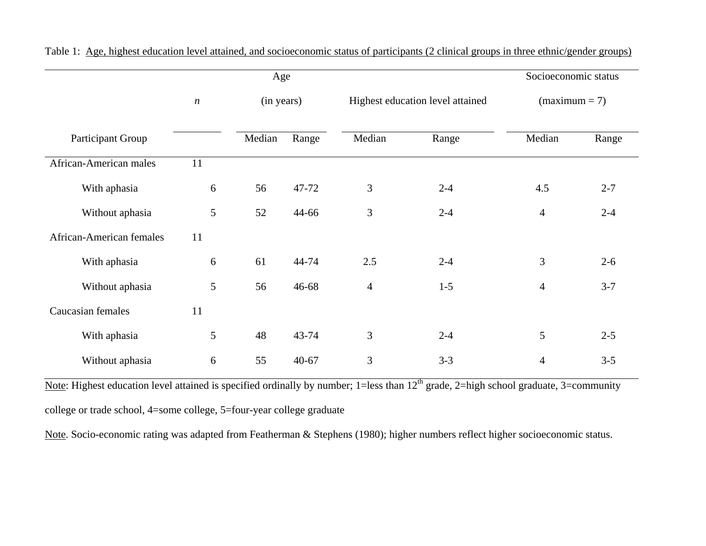|                          |                  | Age    | Socioeconomic status |                |                                  |                 |         |  |
|--------------------------|------------------|--------|----------------------|----------------|----------------------------------|-----------------|---------|--|
|                          | $\boldsymbol{n}$ |        | (in years)           |                | Highest education level attained | $(maximum = 7)$ |         |  |
| Participant Group        |                  | Median | Range                | Median         | Range                            | Median          | Range   |  |
| African-American males   | 11               |        |                      |                |                                  |                 |         |  |
| With aphasia             | 6                | 56     | 47-72                | 3              | $2 - 4$                          | 4.5             | $2 - 7$ |  |
| Without aphasia          | 5                | 52     | 44-66                | 3              | $2 - 4$                          | $\overline{4}$  | $2 - 4$ |  |
| African-American females | 11               |        |                      |                |                                  |                 |         |  |
| With aphasia             | 6                | 61     | 44-74                | 2.5            | $2 - 4$                          | 3               | $2 - 6$ |  |
| Without aphasia          | 5                | 56     | 46-68                | $\overline{4}$ | $1-5$                            | $\overline{4}$  | $3 - 7$ |  |
| Caucasian females        | 11               |        |                      |                |                                  |                 |         |  |
| With aphasia             | 5                | 48     | 43-74                | 3              | $2 - 4$                          | 5               | $2 - 5$ |  |
| Without aphasia          | 6                | 55     | $40 - 67$            | 3              | $3 - 3$                          | $\overline{4}$  | $3 - 5$ |  |

Table 1: Age, highest education level attained, and socioeconomic status of participants (2 clinical groups in three ethnic/gender groups)

Note: Highest education level attained is specified ordinally by number; 1=less than 12<sup>th</sup> grade, 2=high school graduate, 3=community college or trade school, 4=some college, 5=four-year college graduate

Note. Socio-economic rating was adapted from Featherman & Stephens (1980); higher numbers reflect higher socioeconomic status.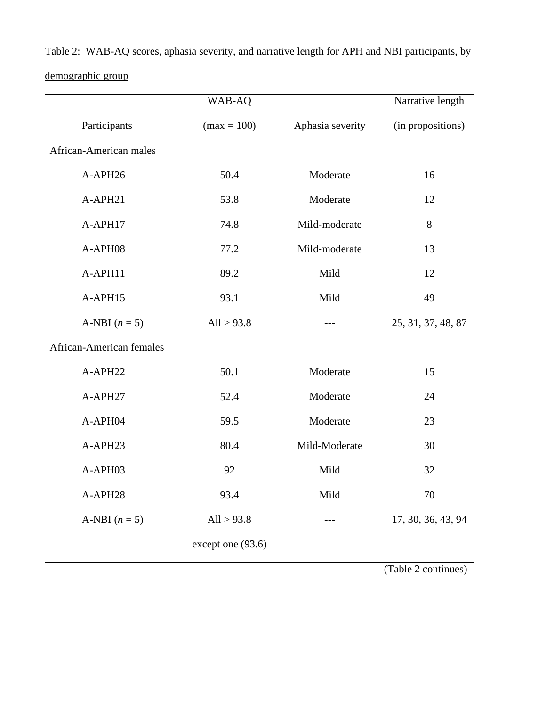|                                 | WAB-AQ            |                  |                    |  |  |  |
|---------------------------------|-------------------|------------------|--------------------|--|--|--|
| Participants                    | $(max = 100)$     | Aphasia severity | (in propositions)  |  |  |  |
| African-American males          |                   |                  |                    |  |  |  |
| A-APH26                         | 50.4              | Moderate         | 16                 |  |  |  |
| A-APH21                         | 53.8              | Moderate         | 12                 |  |  |  |
| A-APH17                         | 74.8              | Mild-moderate    | 8                  |  |  |  |
| A-APH08                         | 77.2              | Mild-moderate    | 13                 |  |  |  |
| A-APH11                         | 89.2              | Mild             | 12                 |  |  |  |
| A-APH15                         | 93.1              | Mild             | 49                 |  |  |  |
| A-NBI $(n = 5)$                 | All $> 93.8$      | ---              | 25, 31, 37, 48, 87 |  |  |  |
| <b>African-American females</b> |                   |                  |                    |  |  |  |
| A-APH22                         | 50.1              | Moderate         | 15                 |  |  |  |
| A-APH27                         | 52.4              | Moderate         | 24                 |  |  |  |
| A-APH04                         | 59.5              | Moderate         | 23                 |  |  |  |
| A-APH23                         | 80.4              | Mild-Moderate    | 30                 |  |  |  |
| A-APH03                         | 92                | Mild             | 32                 |  |  |  |
| A-APH28                         | 93.4              | Mild             | 70                 |  |  |  |
| A-NBI $(n = 5)$                 | All $> 93.8$      |                  | 17, 30, 36, 43, 94 |  |  |  |
|                                 | except one (93.6) |                  |                    |  |  |  |

Table 2: WAB-AQ scores, aphasia severity, and narrative length for APH and NBI participants, by

demographic group

(Table 2 continues)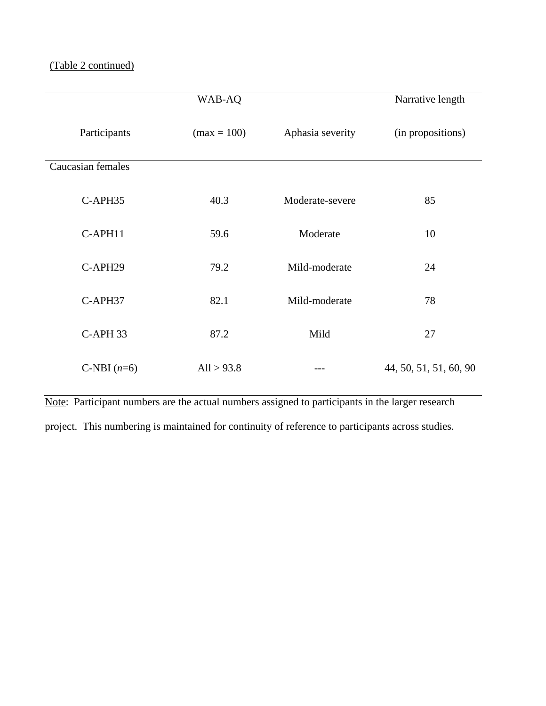|                   | Narrative length |                  |                        |  |  |
|-------------------|------------------|------------------|------------------------|--|--|
| Participants      | $(max = 100)$    | Aphasia severity | (in propositions)      |  |  |
| Caucasian females |                  |                  |                        |  |  |
| C-APH35           | 40.3             | Moderate-severe  | 85                     |  |  |
| C-APH11           | 59.6             | Moderate         | 10                     |  |  |
| C-APH29           | 79.2             | Mild-moderate    | 24                     |  |  |
| C-APH37           | 82.1             | Mild-moderate    | 78                     |  |  |
| C-APH 33          | 87.2             | Mild             | 27                     |  |  |
| C-NBI $(n=6)$     | All $> 93.8$     |                  | 44, 50, 51, 51, 60, 90 |  |  |

Note: Participant numbers are the actual numbers assigned to participants in the larger research

project. This numbering is maintained for continuity of reference to participants across studies.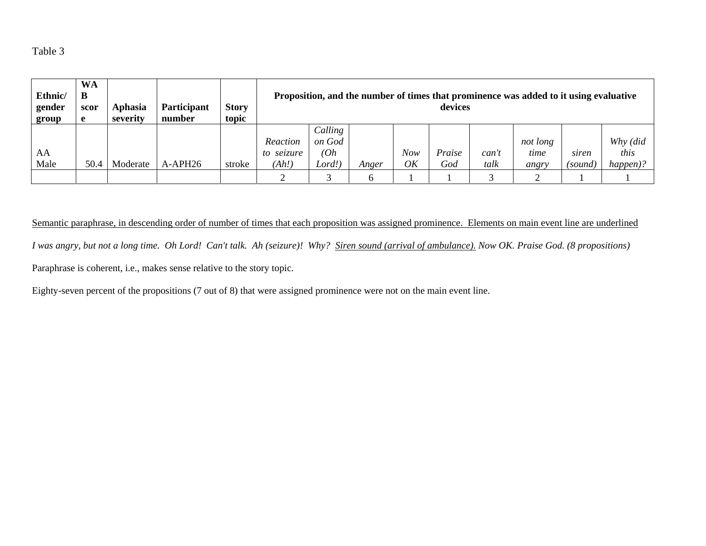Table 3

| Ethnic/<br>gender<br>group | <b>WA</b><br>B<br>scor<br>e | Aphasia<br>severity | <b>Participant</b><br>number | <b>Story</b><br>topic | Proposition, and the number of times that prominence was added to it using evaluative<br>devices |                   |       |     |        |       |          |         |          |
|----------------------------|-----------------------------|---------------------|------------------------------|-----------------------|--------------------------------------------------------------------------------------------------|-------------------|-------|-----|--------|-------|----------|---------|----------|
|                            |                             |                     |                              |                       | Reaction                                                                                         | Calling<br>on God |       |     |        |       | not long |         | Why (did |
|                            |                             |                     |                              |                       |                                                                                                  |                   |       |     |        |       |          |         |          |
| AA                         |                             |                     |                              |                       | to seizure                                                                                       | (Oh               |       | Now | Praise | can't | time     | siren   | this     |
| Male                       | 50.4                        | Moderate            | A-APH26                      | stroke                | (Ah!)                                                                                            | Lord!             | Anger | OK  | God    | talk  | angry    | (sound) | happen)? |
|                            |                             |                     |                              |                       |                                                                                                  |                   |       |     |        |       |          |         |          |

Semantic paraphrase, in descending order of number of times that each proposition was assigned prominence. Elements on main event line are underlined *I was angry, but not a long time. Oh Lord! Can't talk. Ah (seizure)! Why? Siren sound (arrival of ambulance). Now OK. Praise God. (8 propositions)*  Paraphrase is coherent, i.e., makes sense relative to the story topic.

Eighty-seven percent of the propositions (7 out of 8) that were assigned prominence were not on the main event line.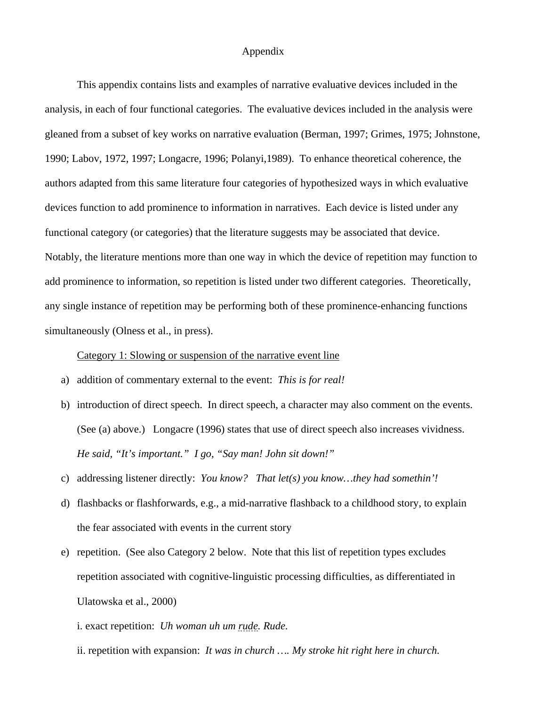# Appendix

This appendix contains lists and examples of narrative evaluative devices included in the analysis, in each of four functional categories. The evaluative devices included in the analysis were gleaned from a subset of key works on narrative evaluation (Berman, 1997; Grimes, 1975; Johnstone, 1990; Labov, 1972, 1997; Longacre, 1996; Polanyi,1989). To enhance theoretical coherence, the authors adapted from this same literature four categories of hypothesized ways in which evaluative devices function to add prominence to information in narratives. Each device is listed under any functional category (or categories) that the literature suggests may be associated that device. Notably, the literature mentions more than one way in which the device of repetition may function to add prominence to information, so repetition is listed under two different categories. Theoretically, any single instance of repetition may be performing both of these prominence-enhancing functions simultaneously (Olness et al., in press).

Category 1: Slowing or suspension of the narrative event line

- a) addition of commentary external to the event: *This is for real!*
- b) introduction of direct speech. In direct speech, a character may also comment on the events. (See (a) above.) Longacre (1996) states that use of direct speech also increases vividness. *He said, "It's important." I go, "Say man! John sit down!"*
- c) addressing listener directly: *You know? That let(s) you know…they had somethin'!*
- d) flashbacks or flashforwards, e.g., a mid-narrative flashback to a childhood story, to explain the fear associated with events in the current story
- e) repetition. (See also Category 2 below. Note that this list of repetition types excludes repetition associated with cognitive-linguistic processing difficulties, as differentiated in Ulatowska et al., 2000)

i. exact repetition: *Uh woman uh um rude. Rude.*

ii. repetition with expansion: *It was in church …. My stroke hit right here in church.*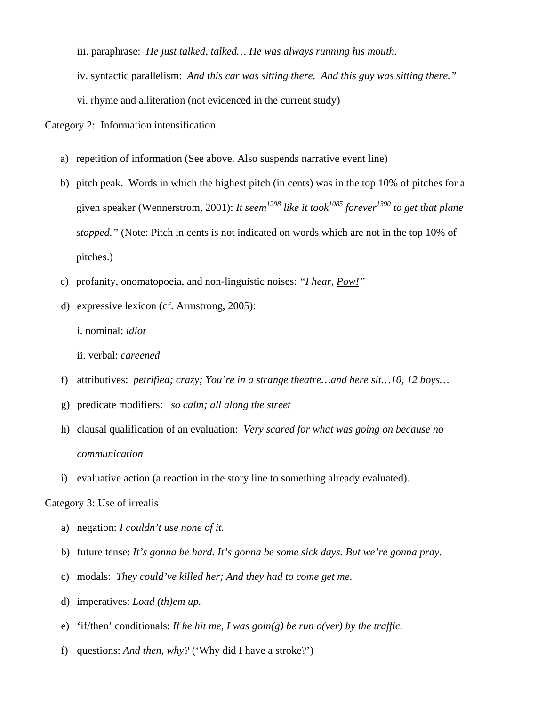iii. paraphrase: *He just talked, talked… He was always running his mouth.*

- iv. syntactic parallelism: *And this car was sitting there. And this guy was sitting there."*
- vi. rhyme and alliteration (not evidenced in the current study)

# Category 2: Information intensification

- a) repetition of information (See above. Also suspends narrative event line)
- b) pitch peak. Words in which the highest pitch (in cents) was in the top 10% of pitches for a given speaker (Wennerstrom, 2001): *It seem*<sup>1298</sup> like it took<sup>1085</sup> forever<sup>1390</sup> to get that plane *stopped."* (Note: Pitch in cents is not indicated on words which are not in the top 10% of pitches.)
- c) profanity, onomatopoeia, and non-linguistic noises: *"I hear, Pow!"*
- d) expressive lexicon (cf. Armstrong, 2005):
	- i. nominal: *idiot*
	- ii. verbal: *careened*
- f) attributives: *petrified; crazy; You're in a strange theatre…and here sit…10, 12 boys…*
- g) predicate modifiers: *so calm; all along the street*
- h) clausal qualification of an evaluation: *Very scared for what was going on because no communication*
- i) evaluative action (a reaction in the story line to something already evaluated).

# Category 3: Use of irrealis

- a) negation: *I couldn't use none of it.*
- b) future tense: *It's gonna be hard. It's gonna be some sick days. But we're gonna pray.*
- c) modals: *They could've killed her; And they had to come get me.*
- d) imperatives: *Load (th)em up.*
- e) 'if/then' conditionals: *If he hit me, I was goin(g) be run o(ver) by the traffic.*
- f) questions: *And then, why?* ('Why did I have a stroke?')